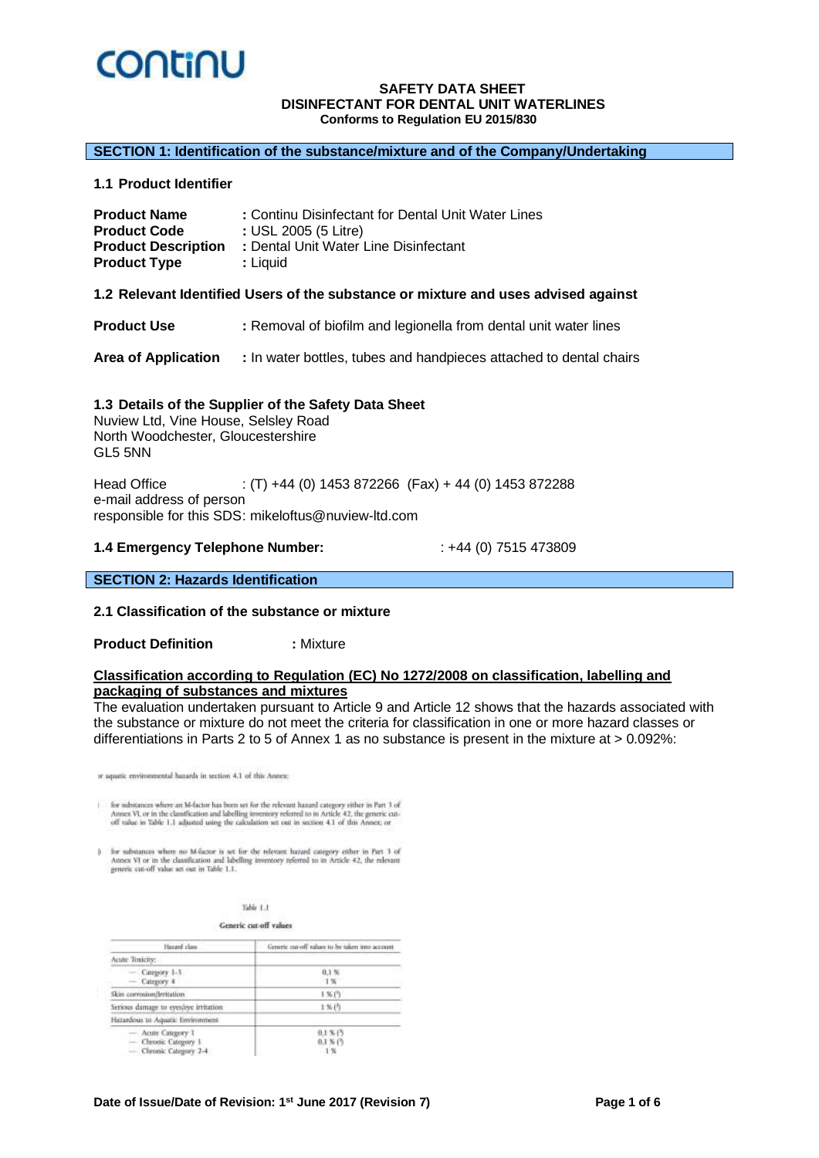

#### **SECTION 1: Identification of the substance/mixture and of the Company/Undertaking**

**1.1 Product Identifier**

| <b>Product Name</b>        | : Continu Disinfectant for Dental Unit Water Lines |
|----------------------------|----------------------------------------------------|
| <b>Product Code</b>        | : USL 2005 (5 Litre)                               |
| <b>Product Description</b> | : Dental Unit Water Line Disinfectant              |
| <b>Product Type</b>        | : Liquid                                           |

#### **1.2 Relevant Identified Users of the substance or mixture and uses advised against**

**Product Use :** Removal of biofilm and legionella from dental unit water lines

**Area of Application :** In water bottles, tubes and handpieces attached to dental chairs

#### **1.3 Details of the Supplier of the Safety Data Sheet**

Nuview Ltd, Vine House, Selsley Road North Woodchester, Gloucestershire GL5 5NN

Head Office : (T) +44 (0) 1453 872266 (Fax) + 44 (0) 1453 872288 e-mail address of person responsible for this SDS: mikeloftus@nuview-ltd.com

#### **1.4 Emergency Telephone Number:** : +44 (0) 7515 473809

### **SECTION 2: Hazards Identification**

#### **2.1 Classification of the substance or mixture**

**Product Definition <b>:** Mixture

#### **Classification according to Regulation (EC) No 1272/2008 on classification, labelling and packaging of substances and mixtures**

The evaluation undertaken pursuant to Article 9 and Article 12 shows that the hazards associated with the substance or mixture do not meet the criteria for classification in one or more hazard classes or differentiations in Parts 2 to 5 of Annex 1 as no substance is present in the mixture at > 0.092%:

or aquatic environmental hazards in section 4.1 of this Annex:

for substances where an M-factor has been act for the relevant hazard category either in Part 1 of Annex VI, or in the classification and labelling inversion referred to in Article 42, the generic cut-off value in Table 1

 $0$  – for substances where no M-factor is set for the relevant bazard category either in Part 1 of Annex VI or in the classification and labelling invertory referred to in Article 42, the relevant generic cut-off value se

Generic cut-off values

| Hazard class                                                         | Generic cut-off ralues to be taken into account                                                                 |
|----------------------------------------------------------------------|-----------------------------------------------------------------------------------------------------------------|
| Acute Toxicity:                                                      | the contract of the contract of the contract of the contract of the contract of the contract of the contract of |
| $-$ Category 1-3<br>Category 4                                       | 0.156<br>1%                                                                                                     |
| Skin corresion/Irritation                                            | 156(7)                                                                                                          |
| Serious damage to eyessaye initiation.                               | 1%(行                                                                                                            |
| Hazardous to Aquatic Environment                                     |                                                                                                                 |
| - Acute Category 1<br>- Chronic Category 1<br>- Cleonic Category 2-4 | $0.1 \times C$<br>$0.1 \times 10^{-5}$<br>1%                                                                    |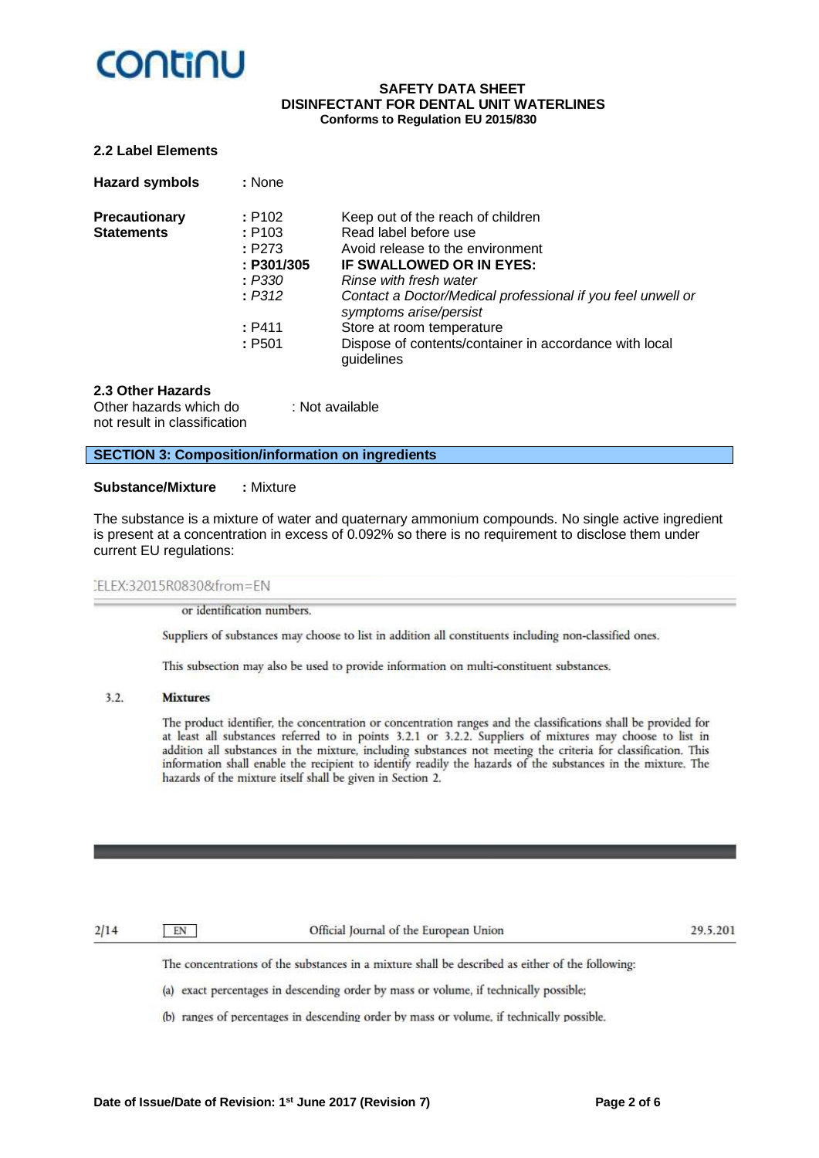# **CONTINU**

#### **SAFETY DATA SHEET DISINFECTANT FOR DENTAL UNIT WATERLINES Conforms to Regulation EU 2015/830**

#### **2.2 Label Elements**

| <b>Hazard symbols</b> | : None     |                                                                                       |
|-----------------------|------------|---------------------------------------------------------------------------------------|
| <b>Precautionary</b>  | : P102     | Keep out of the reach of children                                                     |
| <b>Statements</b>     | : P103     | Read label before use                                                                 |
|                       | : P273     | Avoid release to the environment                                                      |
|                       | : P301/305 | IF SWALLOWED OR IN EYES:                                                              |
|                       | : P330     | Rinse with fresh water                                                                |
|                       | : P312     | Contact a Doctor/Medical professional if you feel unwell or<br>symptoms arise/persist |
|                       | : P411     | Store at room temperature                                                             |
|                       | : P501     | Dispose of contents/container in accordance with local<br>guidelines                  |

#### **2.3 Other Hazards**

Other hazards which do : Not available not result in classification

**SECTION 3: Composition/information on ingredients**

#### **Substance/Mixture :** Mixture

The substance is a mixture of water and quaternary ammonium compounds. No single active ingredient is present at a concentration in excess of 0.092% so there is no requirement to disclose them under current EU regulations:

#### ELEX:32015R0830&from=EN

or identification numbers.

Suppliers of substances may choose to list in addition all constituents including non-classified ones.

This subsection may also be used to provide information on multi-constituent substances.

#### $3.2.$ **Mixtures**

The product identifier, the concentration or concentration ranges and the classifications shall be provided for at least all substances referred to in points 3.2.1 or 3.2.2. Suppliers of mixtures may choose to list in addition all substances in the mixture, including substances not meeting the criteria for classification. This information shall enable the recipient to identify readily the hazards of the substances in the mixture. The hazards of the mixture itself shall be given in Section 2.

 $2/14$ 

EN

Official Journal of the European Union

29.5.201

The concentrations of the substances in a mixture shall be described as either of the following:

(a) exact percentages in descending order by mass or volume, if technically possible;

(b) ranges of percentages in descending order by mass or volume, if technically possible,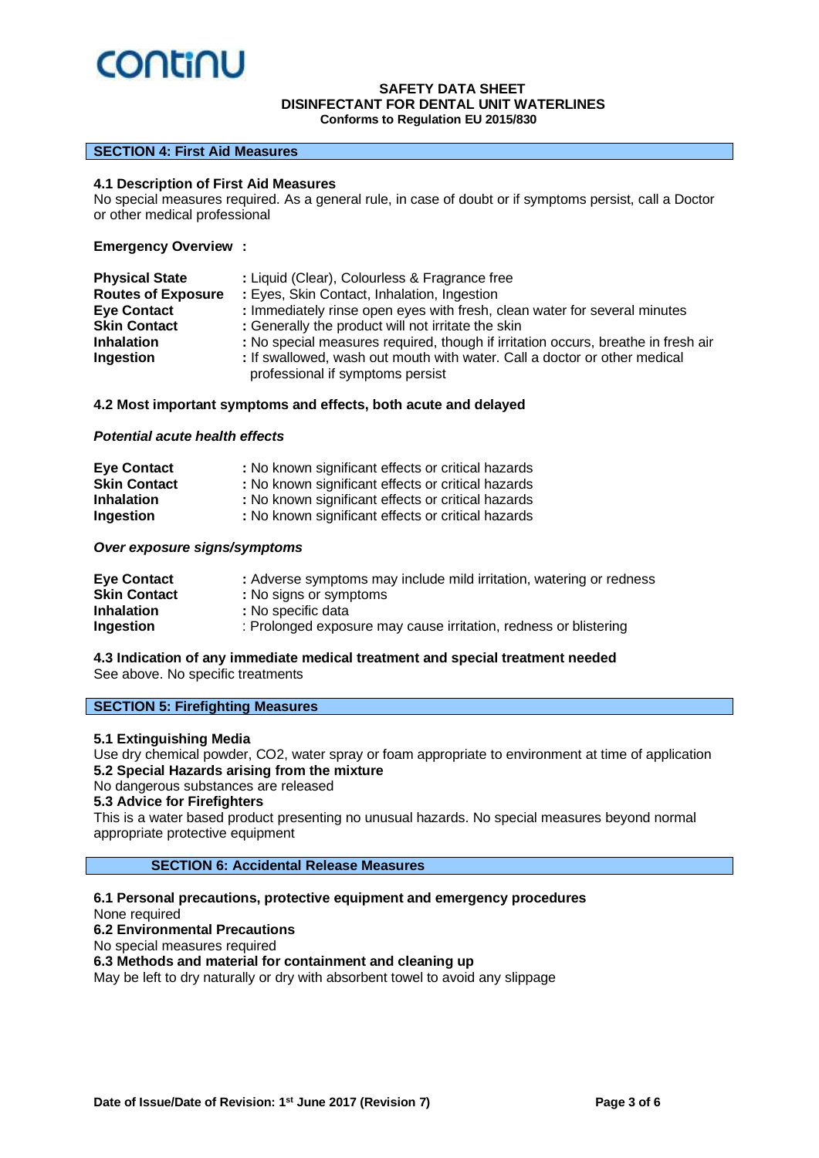

#### **SECTION 4: First Aid Measures**

#### **4.1 Description of First Aid Measures**

No special measures required. As a general rule, in case of doubt or if symptoms persist, call a Doctor or other medical professional

#### **Emergency Overview :**

| <b>Physical State</b>     | : Liquid (Clear), Colourless & Fragrance free                                                                 |
|---------------------------|---------------------------------------------------------------------------------------------------------------|
| <b>Routes of Exposure</b> | : Eyes, Skin Contact, Inhalation, Ingestion                                                                   |
| <b>Eye Contact</b>        | : Immediately rinse open eyes with fresh, clean water for several minutes                                     |
| <b>Skin Contact</b>       | : Generally the product will not irritate the skin                                                            |
| <b>Inhalation</b>         | : No special measures required, though if irritation occurs, breathe in fresh air                             |
| Ingestion                 | : If swallowed, wash out mouth with water. Call a doctor or other medical<br>professional if symptoms persist |

#### **4.2 Most important symptoms and effects, both acute and delayed**

#### *Potential acute health effects*

| <b>Eye Contact</b>  | : No known significant effects or critical hazards |
|---------------------|----------------------------------------------------|
| <b>Skin Contact</b> | : No known significant effects or critical hazards |
| <b>Inhalation</b>   | : No known significant effects or critical hazards |
| Ingestion           | : No known significant effects or critical hazards |

#### *Over exposure signs/symptoms*

| <b>Eye Contact</b>  | : Adverse symptoms may include mild irritation, watering or redness |
|---------------------|---------------------------------------------------------------------|
| <b>Skin Contact</b> | : No signs or symptoms                                              |
| <b>Inhalation</b>   | : No specific data                                                  |
| Ingestion           | : Prolonged exposure may cause irritation, redness or blistering    |

#### **4.3 Indication of any immediate medical treatment and special treatment needed** See above. No specific treatments

#### **SECTION 5: Firefighting Measures**

## **5.1 Extinguishing Media**

Use dry chemical powder, CO2, water spray or foam appropriate to environment at time of application **5.2 Special Hazards arising from the mixture**

No dangerous substances are released

#### **5.3 Advice for Firefighters**

This is a water based product presenting no unusual hazards. No special measures beyond normal appropriate protective equipment

### **SECTION 6: Accidental Release Measures**

**6.1 Personal precautions, protective equipment and emergency procedures** None required **6.2 Environmental Precautions** No special measures required **6.3 Methods and material for containment and cleaning up** May be left to dry naturally or dry with absorbent towel to avoid any slippage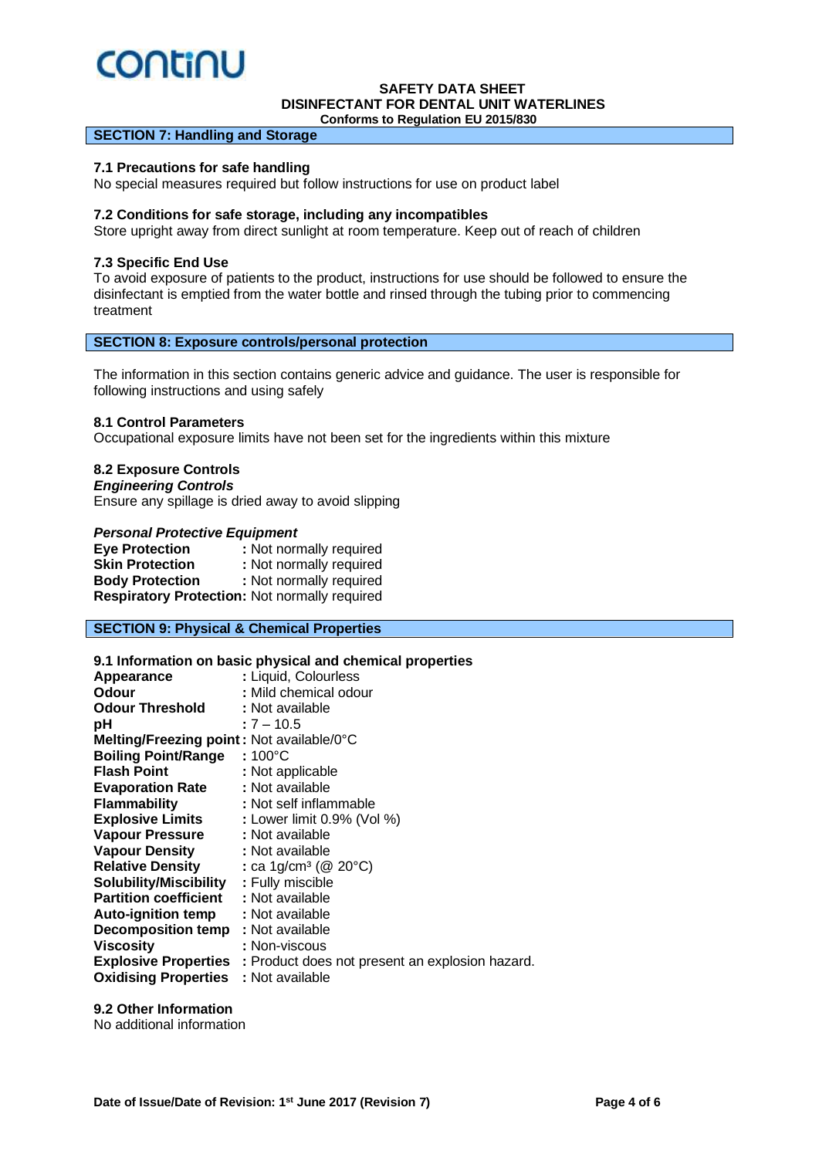# **CONTINU**

# **SAFETY DATA SHEET DISINFECTANT FOR DENTAL UNIT WATERLINES**

 **Conforms to Regulation EU 2015/830**

#### **SECTION 7: Handling and Storage**

#### **7.1 Precautions for safe handling**

No special measures required but follow instructions for use on product label

#### **7.2 Conditions for safe storage, including any incompatibles**

Store upright away from direct sunlight at room temperature. Keep out of reach of children

#### **7.3 Specific End Use**

To avoid exposure of patients to the product, instructions for use should be followed to ensure the disinfectant is emptied from the water bottle and rinsed through the tubing prior to commencing treatment

### **SECTION 8: Exposure controls/personal protection**

The information in this section contains generic advice and guidance. The user is responsible for following instructions and using safely

## **8.1 Control Parameters**

Occupational exposure limits have not been set for the ingredients within this mixture

#### **8.2 Exposure Controls**

*Engineering Controls* Ensure any spillage is dried away to avoid slipping

#### *Personal Protective Equipment*

| <b>Eye Protection</b>                         | : Not normally required |
|-----------------------------------------------|-------------------------|
| <b>Skin Protection</b>                        | : Not normally required |
| <b>Body Protection</b>                        | : Not normally required |
| Respiratory Protection: Not normally required |                         |

# **SECTION 9: Physical & Chemical Properties**

#### **9.1 Information on basic physical and chemical properties**

| Appearance                                | : Liquid, Colourless                                                        |
|-------------------------------------------|-----------------------------------------------------------------------------|
| Odour                                     | : Mild chemical odour                                                       |
| <b>Odour Threshold</b>                    | : Not available                                                             |
| рH                                        | $:7 - 10.5$                                                                 |
| Melting/Freezing point: Not available/0°C |                                                                             |
| <b>Boiling Point/Range</b>                | : 100°C                                                                     |
| <b>Flash Point</b>                        | : Not applicable                                                            |
| <b>Evaporation Rate</b>                   | : Not available                                                             |
| <b>Flammability</b>                       | : Not self inflammable                                                      |
| <b>Explosive Limits</b>                   | : Lower limit 0.9% (Vol %)                                                  |
| <b>Vapour Pressure</b>                    | : Not available                                                             |
| <b>Vapour Density</b>                     | : Not available                                                             |
| <b>Relative Density</b>                   | : ca 1g/cm <sup>3</sup> ( $@$ 20 $°C$ )                                     |
| <b>Solubility/Miscibility</b>             | : Fully miscible                                                            |
| <b>Partition coefficient</b>              | : Not available                                                             |
| <b>Auto-ignition temp</b>                 | : Not available                                                             |
| <b>Decomposition temp</b>                 | : Not available                                                             |
| Viscosity                                 | : Non-viscous                                                               |
|                                           | <b>Explosive Properties</b> : Product does not present an explosion hazard. |
| <b>Oxidising Properties</b>               | : Not available                                                             |
|                                           |                                                                             |

# **9.2 Other Information**

No additional information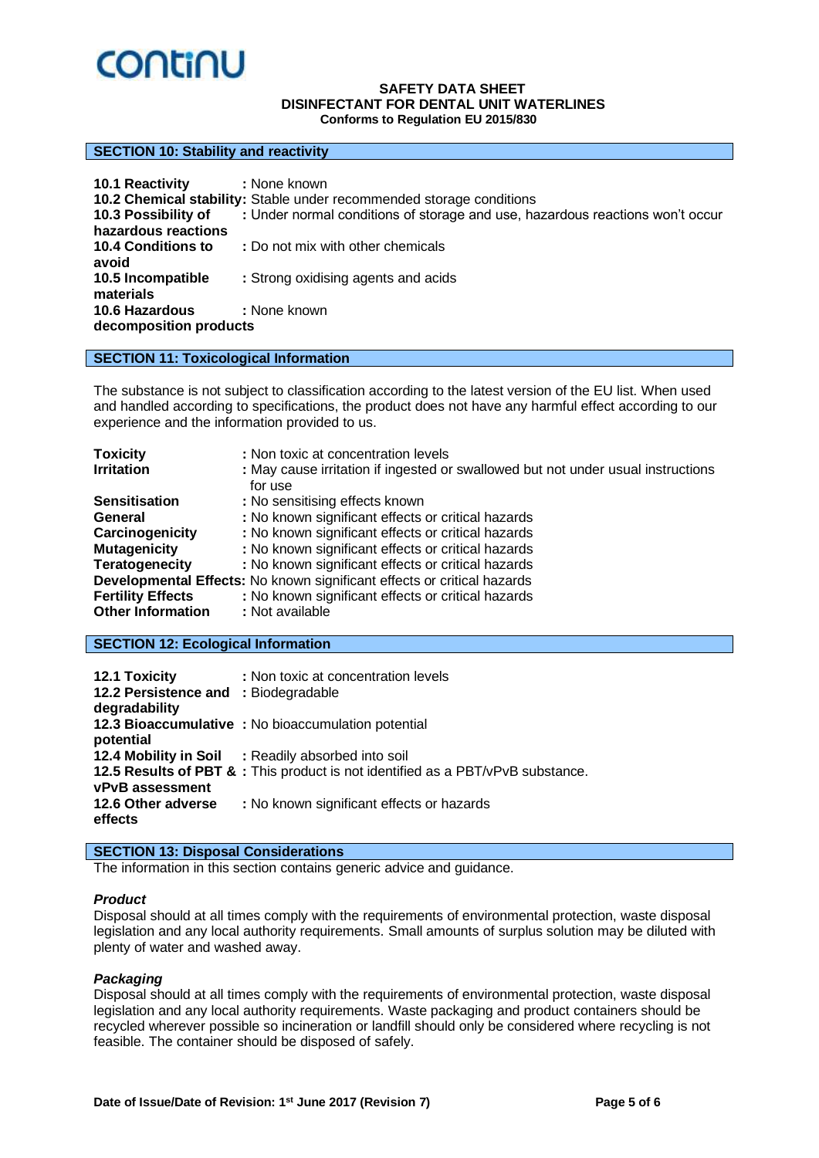

#### **SECTION 10: Stability and reactivity**

| 10.1 Reactivity           | : None known<br>10.2 Chemical stability: Stable under recommended storage conditions |
|---------------------------|--------------------------------------------------------------------------------------|
| 10.3 Possibility of       | : Under normal conditions of storage and use, hazardous reactions won't occur        |
| hazardous reactions       |                                                                                      |
| <b>10.4 Conditions to</b> | : Do not mix with other chemicals                                                    |
| avoid                     |                                                                                      |
| 10.5 Incompatible         | : Strong oxidising agents and acids                                                  |
| materials                 |                                                                                      |
| <b>10.6 Hazardous</b>     | : None known                                                                         |
| decomposition products    |                                                                                      |

### **SECTION 11: Toxicological Information**

The substance is not subject to classification according to the latest version of the EU list. When used and handled according to specifications, the product does not have any harmful effect according to our experience and the information provided to us.

| <b>Toxicity</b>          | : Non toxic at concentration levels                                                         |
|--------------------------|---------------------------------------------------------------------------------------------|
| <b>Irritation</b>        | : May cause irritation if ingested or swallowed but not under usual instructions<br>for use |
| <b>Sensitisation</b>     | : No sensitising effects known                                                              |
| General                  | : No known significant effects or critical hazards                                          |
| Carcinogenicity          | : No known significant effects or critical hazards                                          |
| <b>Mutagenicity</b>      | : No known significant effects or critical hazards                                          |
| <b>Teratogenecity</b>    | : No known significant effects or critical hazards                                          |
|                          | Developmental Effects: No known significant effects or critical hazards                     |
| <b>Fertility Effects</b> | : No known significant effects or critical hazards                                          |
| <b>Other Information</b> | : Not available                                                                             |

#### **SECTION 12: Ecological Information**

| 12.1 Toxicity<br>12.2 Persistence and : Biodegradable<br>degradability | : Non toxic at concentration levels                                             |
|------------------------------------------------------------------------|---------------------------------------------------------------------------------|
| potential                                                              | 12.3 Bioaccumulative : No bioaccumulation potential                             |
|                                                                        | 12.4 Mobility in Soil : Readily absorbed into soil                              |
| <b>vPvB</b> assessment                                                 | 12.5 Results of PBT & : This product is not identified as a PBT/vPvB substance. |
| 12.6 Other adverse<br>effects                                          | : No known significant effects or hazards                                       |

# **SECTION 13: Disposal Considerations**

The information in this section contains generic advice and guidance.

#### *Product*

Disposal should at all times comply with the requirements of environmental protection, waste disposal legislation and any local authority requirements. Small amounts of surplus solution may be diluted with plenty of water and washed away.

#### *Packaging*

Disposal should at all times comply with the requirements of environmental protection, waste disposal legislation and any local authority requirements. Waste packaging and product containers should be recycled wherever possible so incineration or landfill should only be considered where recycling is not feasible. The container should be disposed of safely.